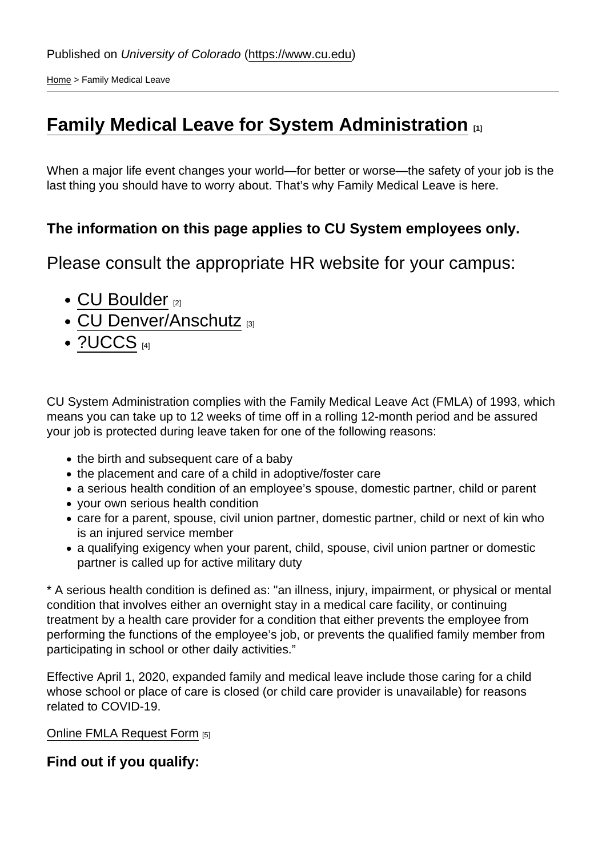[Home](https://www.cu.edu/) > Family Medical Leave

## [Family Medical Leave for System Administration](https://www.cu.edu/employee-services/family-medical-leave)  $\Box$

When a major life event changes your world—for better or worse—the safety of your job is the last thing you should have to worry about. That's why Family Medical Leave is here.

The information on this page applies to CU System employees only.

Please consult the appropriate HR website for your campus:

- [CU Boulder](https://www.colorado.edu/hr/) [2]
- [CU Denver/Anschutz](http://www.ucdenver.edu/about/departments/HR/Pages/default.aspx) [3]
- $\bullet$  [?UCCS](https://www.uccs.edu/hr/) [4]

CU System Administration complies with the Family Medical Leave Act (FMLA) of 1993, which means you can take up to 12 weeks of time off in a rolling 12-month period and be assured your job is protected during leave taken for one of the following reasons:

- the birth and subsequent care of a baby
- the placement and care of a child in adoptive/foster care
- a serious health condition of an employee's spouse, domestic partner, child or parent
- your own serious health condition
- care for a parent, spouse, civil union partner, domestic partner, child or next of kin who is an injured service member
- a qualifying exigency when your parent, child, spouse, civil union partner or domestic partner is called up for active military duty

\* A serious health condition is defined as: "an illness, injury, impairment, or physical or mental condition that involves either an overnight stay in a medical care facility, or continuing treatment by a health care provider for a condition that either prevents the employee from performing the functions of the employee's job, or prevents the qualified family member from participating in school or other daily activities."

Effective April 1, 2020, expanded family and medical leave include those caring for a child whose school or place of care is closed (or child care provider is unavailable) for reasons related to COVID-19.

[Online FMLA Request Form](https://portal.prod.cu.edu/psc/epprod_1/EMPLOYEE/ENTP/s/WEBLIB_CU_EFORM.ISCRIPT1.FieldFormula.IScript_SYS_EMP_ACTIVE_NO_POI?form=SYS_FMLA) [5]

Find out if you qualify: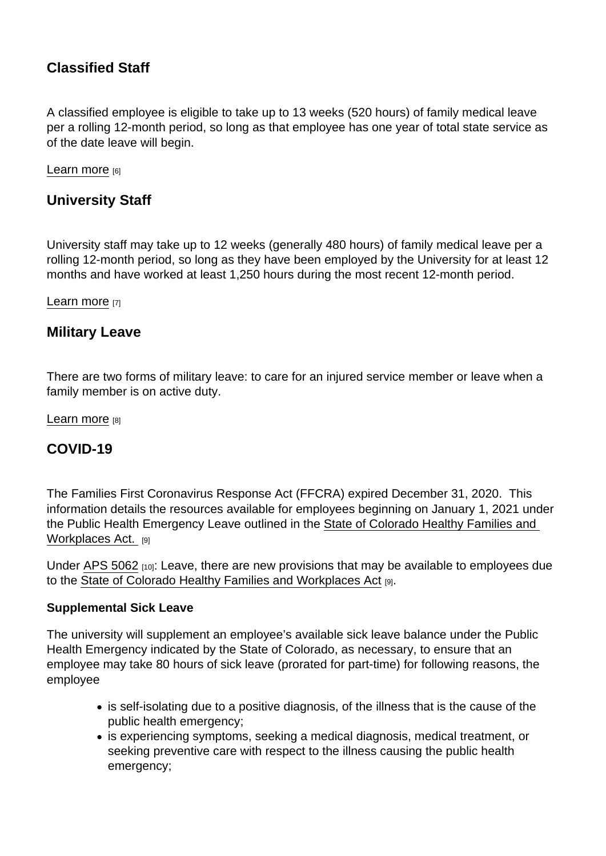## Classified Staff

A classified employee is eligible to take up to 13 weeks (520 hours) of family medical leave per a rolling 12-month period, so long as that employee has one year of total state service as of the date leave will begin.

[Learn more](https://www.cu.edu/employee-services/family-medical-leave-classified-staff) [6]

University Staff

University staff may take up to 12 weeks (generally 480 hours) of family medical leave per a rolling 12-month period, so long as they have been employed by the University for at least 12 months and have worked at least 1,250 hours during the most recent 12-month period.

[Learn more](https://www.cu.edu/employee-services/family-medical-leave-university-staff) [7]

Military Leave

There are two forms of military leave: to care for an injured service member or leave when a family member is on active duty.

[Learn more](https://www.cu.edu/employee-services/military-family-leave) [8]

COVID-19

The Families First Coronavirus Response Act (FFCRA) expired December 31, 2020. This information details the resources available for employees beginning on January 1, 2021 under the Public Health Emergency Leave outlined in the [State of Colorado Healthy Families and](https://leg.colorado.gov/sites/default/files/2020a_205_signed.pdf)  [Workplaces Act.](https://leg.colorado.gov/sites/default/files/2020a_205_signed.pdf) [9]

Under [APS 5062](https://www.cu.edu/ope/aps/5062) [10]: Leave, there are new provisions that may be available to employees due to the [State of Colorado Healthy Families and Workplaces Act](https://leg.colorado.gov/sites/default/files/2020a_205_signed.pdf) [9].

Supplemental Sick Leave

The university will supplement an employee's available sick leave balance under the Public Health Emergency indicated by the State of Colorado, as necessary, to ensure that an employee may take 80 hours of sick leave (prorated for part-time) for following reasons, the employee

- is self-isolating due to a positive diagnosis, of the illness that is the cause of the public health emergency;
- is experiencing symptoms, seeking a medical diagnosis, medical treatment, or seeking preventive care with respect to the illness causing the public health emergency;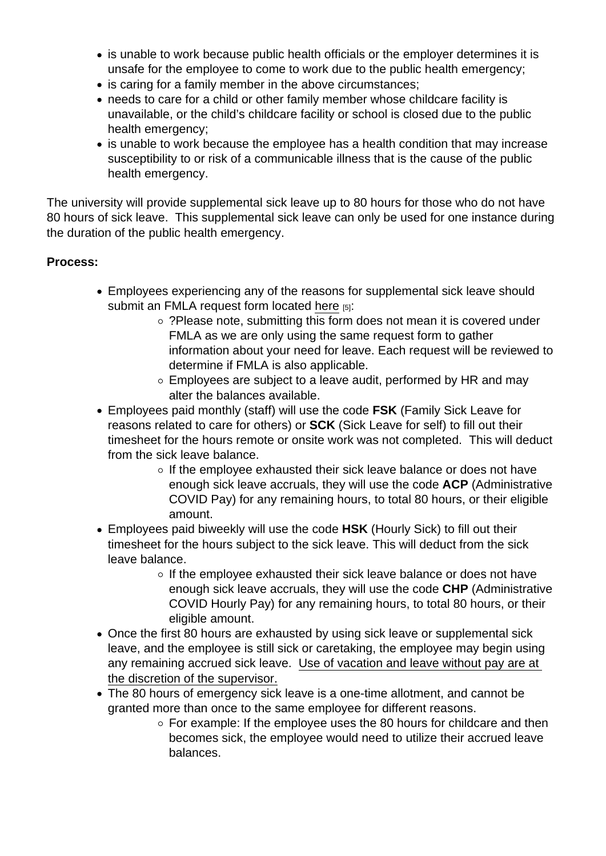- is unable to work because public health officials or the employer determines it is unsafe for the employee to come to work due to the public health emergency;
- is caring for a family member in the above circumstances;
- needs to care for a child or other family member whose childcare facility is unavailable, or the child's childcare facility or school is closed due to the public health emergency;
- is unable to work because the employee has a health condition that may increase susceptibility to or risk of a communicable illness that is the cause of the public health emergency.

The university will provide supplemental sick leave up to 80 hours for those who do not have 80 hours of sick leave. This supplemental sick leave can only be used for one instance during the duration of the public health emergency.

Process:

- Employees experiencing any of the reasons for supplemental sick leave should submit an FMLA request form located [here](https://portal.prod.cu.edu/psc/epprod_1/EMPLOYEE/ENTP/s/WEBLIB_CU_EFORM.ISCRIPT1.FieldFormula.IScript_SYS_EMP_ACTIVE_NO_POI?form=SYS_FMLA) [5]:
	- ?Please note, submitting this form does not mean it is covered under FMLA as we are only using the same request form to gather information about your need for leave. Each request will be reviewed to determine if FMLA is also applicable.
	- Employees are subject to a leave audit, performed by HR and may alter the balances available.
- Employees paid monthly (staff) will use the code FSK (Family Sick Leave for reasons related to care for others) or SCK (Sick Leave for self) to fill out their timesheet for the hours remote or onsite work was not completed. This will deduct from the sick leave balance.
	- $\circ$  If the employee exhausted their sick leave balance or does not have enough sick leave accruals, they will use the code ACP (Administrative COVID Pay) for any remaining hours, to total 80 hours, or their eligible amount.
- Employees paid biweekly will use the code HSK (Hourly Sick) to fill out their timesheet for the hours subject to the sick leave. This will deduct from the sick leave balance.
	- $\circ$  If the employee exhausted their sick leave balance or does not have enough sick leave accruals, they will use the code CHP (Administrative COVID Hourly Pay) for any remaining hours, to total 80 hours, or their eligible amount.
- Once the first 80 hours are exhausted by using sick leave or supplemental sick leave, and the employee is still sick or caretaking, the employee may begin using any remaining accrued sick leave. Use of vacation and leave without pay are at the discretion of the supervisor.
- The 80 hours of emergency sick leave is a one-time allotment, and cannot be granted more than once to the same employee for different reasons.
	- $\circ$  For example: If the employee uses the 80 hours for childcare and then becomes sick, the employee would need to utilize their accrued leave balances.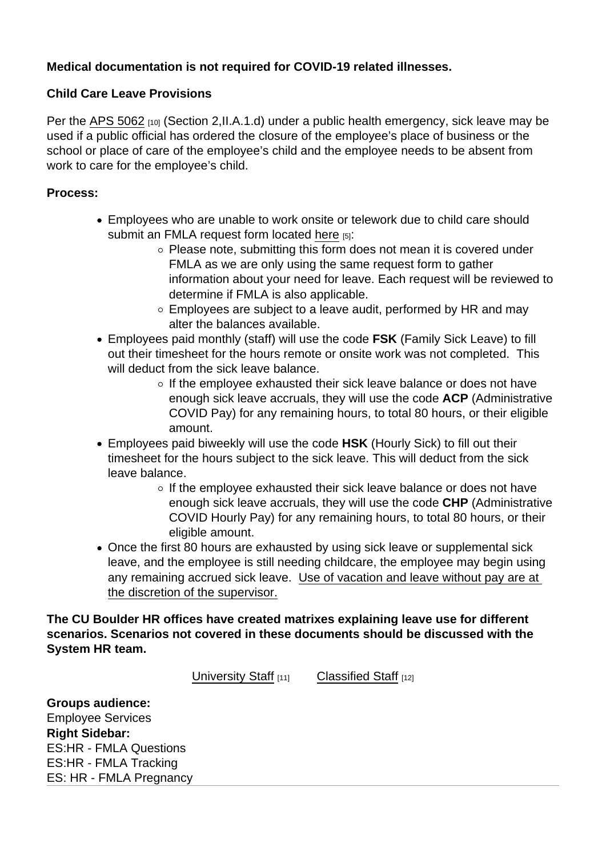Medical documentation is not required for COVID-19 related illnesses.

Child Care Leave Provisions

Per the [APS 5062](https://www.cu.edu/ope/aps/5062) [10] (Section 2, II.A.1.d) under a public health emergency, sick leave may be used if a public official has ordered the closure of the employee's place of business or the school or place of care of the employee's child and the employee needs to be absent from work to care for the employee's child.

Process:

- Employees who are unable to work onsite or telework due to child care should submit an FMLA request form located [here](https://portal.prod.cu.edu/psc/epprod_1/EMPLOYEE/ENTP/s/WEBLIB_CU_EFORM.ISCRIPT1.FieldFormula.IScript_SYS_EMP_ACTIVE_NO_POI?form=SYS_FMLA) [5]:
	- $\circ$  Please note, submitting this form does not mean it is covered under FMLA as we are only using the same request form to gather information about your need for leave. Each request will be reviewed to determine if FMLA is also applicable.
	- Employees are subject to a leave audit, performed by HR and may alter the balances available.
- Employees paid monthly (staff) will use the code FSK (Family Sick Leave) to fill out their timesheet for the hours remote or onsite work was not completed. This will deduct from the sick leave balance.
	- $\circ$  If the employee exhausted their sick leave balance or does not have enough sick leave accruals, they will use the code ACP (Administrative COVID Pay) for any remaining hours, to total 80 hours, or their eligible amount.
- Employees paid biweekly will use the code HSK (Hourly Sick) to fill out their timesheet for the hours subject to the sick leave. This will deduct from the sick leave balance.
	- $\circ$  If the employee exhausted their sick leave balance or does not have enough sick leave accruals, they will use the code CHP (Administrative COVID Hourly Pay) for any remaining hours, to total 80 hours, or their eligible amount.
- Once the first 80 hours are exhausted by using sick leave or supplemental sick leave, and the employee is still needing childcare, the employee may begin using any remaining accrued sick leave. Use of vacation and leave without pay are at the discretion of the supervisor.

The CU Boulder HR offices have created matrixes explaining leave use for different scenarios. Scenarios not covered in these documents should be discussed with the System HR team.

[University Staff](https://www.colorado.edu/hr/sites/default/files/attached-files/covid_leave_matix_1-1-2021_univ_staff.pdf) [11] [Classified Staff](https://www.colorado.edu/hr/sites/default/files/attached-files/covid_leave_matix_1-1-2021_classified_staff.pdf) [12]

Groups audience: Employee Services **Right Sidebar:** ES:HR - FMLA Questions ES:HR - FMLA Tracking ES: HR - FMLA Pregnancy